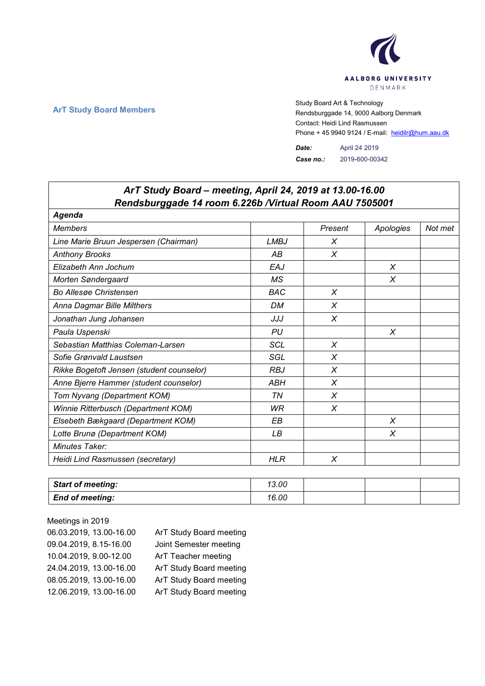

## **ArT Study Board Members** Study Board Art & Technology **Art Study Board Art & Technology** Rendsburggade 14, 9000 Aalborg Denmark Contact: Heidi Lind Rasmussen Phone + 45 9940 9124 / E-mail: heidilr@hum.aau.dk

*Date:* April 24 2019 *Case no.:* 2019-600-00342

| ArT Study Board - meeting, April 24, 2019 at 13.00-16.00<br>Rendsburggade 14 room 6.226b / Virtual Room AAU 7505001 |             |         |           |         |  |
|---------------------------------------------------------------------------------------------------------------------|-------------|---------|-----------|---------|--|
| Agenda                                                                                                              |             |         |           |         |  |
| <b>Members</b>                                                                                                      |             | Present | Apologies | Not met |  |
| Line Marie Bruun Jespersen (Chairman)                                                                               | <b>LMBJ</b> | X       |           |         |  |
| <b>Anthony Brooks</b>                                                                                               | АB          | X       |           |         |  |
| Elizabeth Ann Jochum                                                                                                | EAJ         |         | X         |         |  |
| Morten Søndergaard                                                                                                  | <b>MS</b>   |         | $\chi$    |         |  |
| <b>Bo Allesge Christensen</b>                                                                                       | <b>BAC</b>  | X       |           |         |  |
| Anna Dagmar Bille Milthers                                                                                          | <b>DM</b>   | X       |           |         |  |
| Jonathan Jung Johansen                                                                                              | JJJ         | X       |           |         |  |
| Paula Uspenski                                                                                                      | PU          |         | X         |         |  |
| Sebastian Matthias Coleman-Larsen                                                                                   | <b>SCL</b>  | X       |           |         |  |
| Sofie Grønvald Laustsen                                                                                             | SGL         | X       |           |         |  |
| Rikke Bogetoft Jensen (student counselor)                                                                           | <b>RBJ</b>  | X       |           |         |  |
| Anne Bjerre Hammer (student counselor)                                                                              | ABH         | X       |           |         |  |
| Tom Nyvang (Department KOM)                                                                                         | TN          | X       |           |         |  |
| Winnie Ritterbusch (Department KOM)                                                                                 | WR          | X       |           |         |  |
| Elsebeth Bækgaard (Department KOM)                                                                                  | EВ          |         | $\chi$    |         |  |
| Lotte Brunø (Department KOM)                                                                                        | LB          |         | X         |         |  |
| Minutes Taker:                                                                                                      |             |         |           |         |  |
| Heidi Lind Rasmussen (secretary)                                                                                    | <b>HLR</b>  | X       |           |         |  |

| <b>Start of meeting:</b> | 13.00 |  |  |
|--------------------------|-------|--|--|
| <b>End of meeting:</b>   | 16.00 |  |  |

Meetings in 2019 06.03.2019, 13.00-16.00 ArT Study Board meeting 09.04.2019, 8.15-16.00 Joint Semester meeting 10.04.2019, 9.00-12.00 ArT Teacher meeting 24.04.2019, 13.00-16.00 ArT Study Board meeting 08.05.2019, 13.00-16.00 ArT Study Board meeting 12.06.2019, 13.00-16.00 ArT Study Board meeting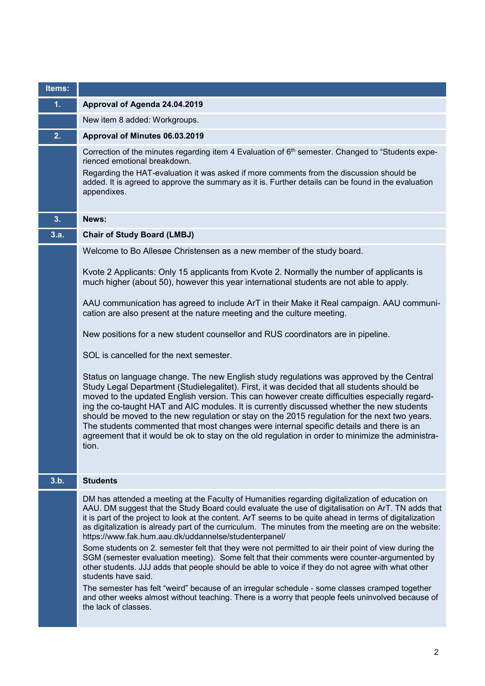| Items: |                                                                                                                                                                                                                                                                                                                                                                                                                                                                                                                                                                                                                                                                                                                                                                                                                                                                                                                                                                                                                               |
|--------|-------------------------------------------------------------------------------------------------------------------------------------------------------------------------------------------------------------------------------------------------------------------------------------------------------------------------------------------------------------------------------------------------------------------------------------------------------------------------------------------------------------------------------------------------------------------------------------------------------------------------------------------------------------------------------------------------------------------------------------------------------------------------------------------------------------------------------------------------------------------------------------------------------------------------------------------------------------------------------------------------------------------------------|
| 1.     | Approval of Agenda 24.04.2019                                                                                                                                                                                                                                                                                                                                                                                                                                                                                                                                                                                                                                                                                                                                                                                                                                                                                                                                                                                                 |
|        | New item 8 added: Workgroups.                                                                                                                                                                                                                                                                                                                                                                                                                                                                                                                                                                                                                                                                                                                                                                                                                                                                                                                                                                                                 |
| 2.     | Approval of Minutes 06.03.2019                                                                                                                                                                                                                                                                                                                                                                                                                                                                                                                                                                                                                                                                                                                                                                                                                                                                                                                                                                                                |
|        | Correction of the minutes regarding item 4 Evaluation of 6 <sup>th</sup> semester. Changed to "Students expe-<br>rienced emotional breakdown.<br>Regarding the HAT-evaluation it was asked if more comments from the discussion should be<br>added. It is agreed to approve the summary as it is. Further details can be found in the evaluation<br>appendixes.                                                                                                                                                                                                                                                                                                                                                                                                                                                                                                                                                                                                                                                               |
| 3.     | News:                                                                                                                                                                                                                                                                                                                                                                                                                                                                                                                                                                                                                                                                                                                                                                                                                                                                                                                                                                                                                         |
| 3.a.   | <b>Chair of Study Board (LMBJ)</b>                                                                                                                                                                                                                                                                                                                                                                                                                                                                                                                                                                                                                                                                                                                                                                                                                                                                                                                                                                                            |
|        | Welcome to Bo Allesøe Christensen as a new member of the study board.                                                                                                                                                                                                                                                                                                                                                                                                                                                                                                                                                                                                                                                                                                                                                                                                                                                                                                                                                         |
|        | Kvote 2 Applicants: Only 15 applicants from Kvote 2. Normally the number of applicants is<br>much higher (about 50), however this year international students are not able to apply.                                                                                                                                                                                                                                                                                                                                                                                                                                                                                                                                                                                                                                                                                                                                                                                                                                          |
|        | AAU communication has agreed to include ArT in their Make it Real campaign. AAU communi-<br>cation are also present at the nature meeting and the culture meeting.                                                                                                                                                                                                                                                                                                                                                                                                                                                                                                                                                                                                                                                                                                                                                                                                                                                            |
|        | New positions for a new student counsellor and RUS coordinators are in pipeline.                                                                                                                                                                                                                                                                                                                                                                                                                                                                                                                                                                                                                                                                                                                                                                                                                                                                                                                                              |
|        | SOL is cancelled for the next semester.                                                                                                                                                                                                                                                                                                                                                                                                                                                                                                                                                                                                                                                                                                                                                                                                                                                                                                                                                                                       |
|        | Status on language change. The new English study regulations was approved by the Central<br>Study Legal Department (Studielegalitet). First, it was decided that all students should be<br>moved to the updated English version. This can however create difficulties especially regard-<br>ing the co-taught HAT and AIC modules. It is currently discussed whether the new students<br>should be moved to the new regulation or stay on the 2015 regulation for the next two years.<br>The students commented that most changes were internal specific details and there is an<br>agreement that it would be ok to stay on the old regulation in order to minimize the administra-<br>tion.                                                                                                                                                                                                                                                                                                                                 |
| 3.b.   | <b>Students</b>                                                                                                                                                                                                                                                                                                                                                                                                                                                                                                                                                                                                                                                                                                                                                                                                                                                                                                                                                                                                               |
|        | DM has attended a meeting at the Faculty of Humanities regarding digitalization of education on<br>AAU. DM suggest that the Study Board could evaluate the use of digitalisation on ArT. TN adds that<br>it is part of the project to look at the content. ArT seems to be quite ahead in terms of digitalization<br>as digitalization is already part of the curriculum. The minutes from the meeting are on the website:<br>https://www.fak.hum.aau.dk/uddannelse/studenterpanel/<br>Some students on 2. semester felt that they were not permitted to air their point of view during the<br>SGM (semester evaluation meeting). Some felt that their comments were counter-argumented by<br>other students. JJJ adds that people should be able to voice if they do not agree with what other<br>students have said.<br>The semester has felt "weird" because of an irregular schedule - some classes cramped together<br>and other weeks almost without teaching. There is a worry that people feels uninvolved because of |
|        | the lack of classes.                                                                                                                                                                                                                                                                                                                                                                                                                                                                                                                                                                                                                                                                                                                                                                                                                                                                                                                                                                                                          |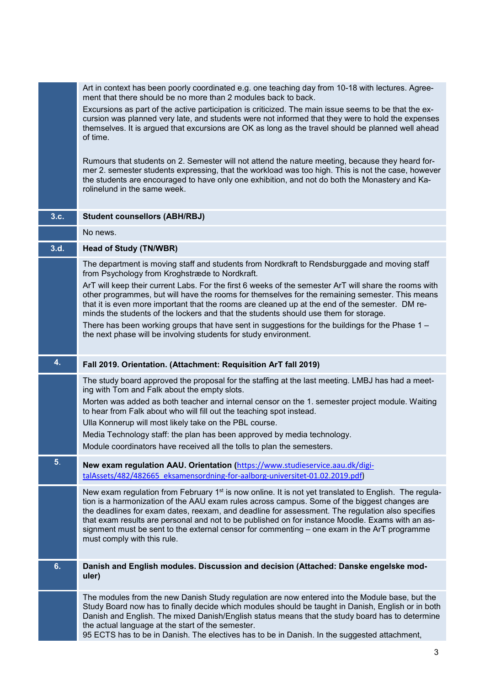|                | Art in context has been poorly coordinated e.g. one teaching day from 10-18 with lectures. Agree-<br>ment that there should be no more than 2 modules back to back.                                                                                                                                                                                                                                                                                                                                                                           |
|----------------|-----------------------------------------------------------------------------------------------------------------------------------------------------------------------------------------------------------------------------------------------------------------------------------------------------------------------------------------------------------------------------------------------------------------------------------------------------------------------------------------------------------------------------------------------|
|                | Excursions as part of the active participation is criticized. The main issue seems to be that the ex-<br>cursion was planned very late, and students were not informed that they were to hold the expenses<br>themselves. It is argued that excursions are OK as long as the travel should be planned well ahead<br>of time.                                                                                                                                                                                                                  |
|                | Rumours that students on 2. Semester will not attend the nature meeting, because they heard for-<br>mer 2. semester students expressing, that the workload was too high. This is not the case, however<br>the students are encouraged to have only one exhibition, and not do both the Monastery and Ka-<br>rolinelund in the same week.                                                                                                                                                                                                      |
| 3.c.           | <b>Student counsellors (ABH/RBJ)</b>                                                                                                                                                                                                                                                                                                                                                                                                                                                                                                          |
|                | No news.                                                                                                                                                                                                                                                                                                                                                                                                                                                                                                                                      |
| 3.d.           | <b>Head of Study (TN/WBR)</b>                                                                                                                                                                                                                                                                                                                                                                                                                                                                                                                 |
|                | The department is moving staff and students from Nordkraft to Rendsburggade and moving staff<br>from Psychology from Kroghstræde to Nordkraft.<br>ArT will keep their current Labs. For the first 6 weeks of the semester ArT will share the rooms with<br>other programmes, but will have the rooms for themselves for the remaining semester. This means                                                                                                                                                                                    |
|                | that it is even more important that the rooms are cleaned up at the end of the semester. DM re-<br>minds the students of the lockers and that the students should use them for storage.                                                                                                                                                                                                                                                                                                                                                       |
|                | There has been working groups that have sent in suggestions for the buildings for the Phase $1 -$<br>the next phase will be involving students for study environment.                                                                                                                                                                                                                                                                                                                                                                         |
| 4.             | Fall 2019. Orientation. (Attachment: Requisition ArT fall 2019)                                                                                                                                                                                                                                                                                                                                                                                                                                                                               |
|                | The study board approved the proposal for the staffing at the last meeting. LMBJ has had a meet-<br>ing with Tom and Falk about the empty slots.                                                                                                                                                                                                                                                                                                                                                                                              |
|                | Morten was added as both teacher and internal censor on the 1. semester project module. Waiting<br>to hear from Falk about who will fill out the teaching spot instead.                                                                                                                                                                                                                                                                                                                                                                       |
|                | Ulla Konnerup will most likely take on the PBL course.<br>Media Technology staff: the plan has been approved by media technology.                                                                                                                                                                                                                                                                                                                                                                                                             |
|                | Module coordinators have received all the tolls to plan the semesters.                                                                                                                                                                                                                                                                                                                                                                                                                                                                        |
| 5 <sub>1</sub> | New exam regulation AAU. Orientation (https://www.studieservice.aau.dk/digi-                                                                                                                                                                                                                                                                                                                                                                                                                                                                  |
|                | talAssets/482/482665 eksamensordning-for-aalborg-universitet-01.02.2019.pdf)                                                                                                                                                                                                                                                                                                                                                                                                                                                                  |
|                | New exam regulation from February $1st$ is now online. It is not yet translated to English. The regula-<br>tion is a harmonization of the AAU exam rules across campus. Some of the biggest changes are<br>the deadlines for exam dates, reexam, and deadline for assessment. The regulation also specifies<br>that exam results are personal and not to be published on for instance Moodle. Exams with an as-<br>signment must be sent to the external censor for commenting – one exam in the ArT programme<br>must comply with this rule. |
| 6.             | Danish and English modules. Discussion and decision (Attached: Danske engelske mod-<br>uler)                                                                                                                                                                                                                                                                                                                                                                                                                                                  |
|                | The modules from the new Danish Study regulation are now entered into the Module base, but the<br>Study Board now has to finally decide which modules should be taught in Danish, English or in both<br>Danish and English. The mixed Danish/English status means that the study board has to determine<br>the actual language at the start of the semester.<br>95 ECTS has to be in Danish. The electives has to be in Danish. In the suggested attachment,                                                                                  |